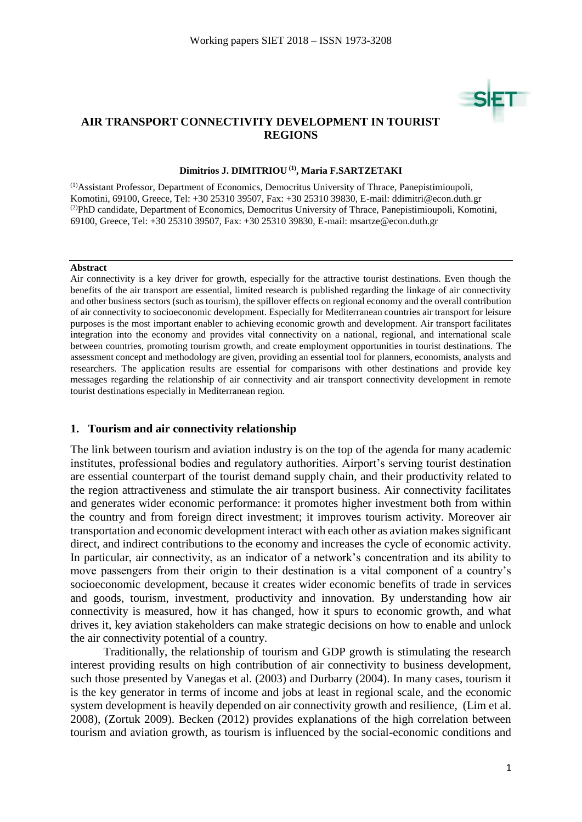## **AIR TRANSPORT CONNECTIVITY DEVELOPMENT IN TOURIST REGIONS**

#### **Dimitrios J. DIMITRIOU (1) , Maria F.SARTZETAKI**

(1)Assistant Professor, Department of Economics, Democritus University of Thrace, Panepistimioupoli, Komotini, 69100, Greece, Tel: +30 25310 39507, Fax: +30 25310 39830, E-mail: [ddimitri@econ.duth.gr](mailto:ddimitri@econ.duth.gr) (2)PhD candidate, Department of Economics, Democritus University of Thrace, Panepistimioupoli, Komotini, 69100, Greece, Tel: +30 25310 39507, Fax: +30 25310 39830, E-mail: [msartze@econ.duth.gr](mailto:msartze@econ.duth.gr)

#### **Abstract**

Air connectivity is a key driver for growth, especially for the attractive tourist destinations. Even though the benefits of the air transport are essential, limited research is published regarding the linkage of air connectivity and other business sectors (such as tourism), the spillover effects on regional economy and the overall contribution of air connectivity to socioeconomic development. Especially for Mediterranean countries air transport for leisure purposes is the most important enabler to achieving economic growth and development. Air transport facilitates integration into the economy and provides vital connectivity on a national, regional, and international scale between countries, promoting tourism growth, and create employment opportunities in tourist destinations. The assessment concept and methodology are given, providing an essential tool for planners, economists, analysts and researchers. The application results are essential for comparisons with other destinations and provide key messages regarding the relationship of air connectivity and air transport connectivity development in remote tourist destinations especially in Mediterranean region.

#### **1. Tourism and air connectivity relationship**

The link between tourism and aviation industry is on the top of the agenda for many academic institutes, professional bodies and regulatory authorities. Airport's serving tourist destination are essential counterpart of the tourist demand supply chain, and their productivity related to the region attractiveness and stimulate the air transport business. Air connectivity facilitates and generates wider economic performance: it promotes higher investment both from within the country and from foreign direct investment; it improves tourism activity. Moreover air transportation and economic development interact with each other as aviation makes significant direct, and indirect contributions to the economy and increases the cycle of economic activity. In particular, air connectivity, as an indicator of a network's concentration and its ability to move passengers from their origin to their destination is a vital component of a country's socioeconomic development, because it creates wider economic benefits of trade in services and goods, tourism, investment, productivity and innovation. By understanding how air connectivity is measured, how it has changed, how it spurs to economic growth, and what drives it, key aviation stakeholders can make strategic decisions on how to enable and unlock the air connectivity potential of a country.

Traditionally, the relationship of tourism and GDP growth is stimulating the research interest providing results on high contribution of air connectivity to business development, such those presented by Vanegas et al. (2003) and Durbarry (2004). In many cases, tourism it is the key generator in terms of income and jobs at least in regional scale, and the economic system development is heavily depended on air connectivity growth and resilience, (Lim et al. 2008), (Zortuk 2009). Becken (2012) provides explanations of the high correlation between tourism and aviation growth, as tourism is influenced by the social-economic conditions and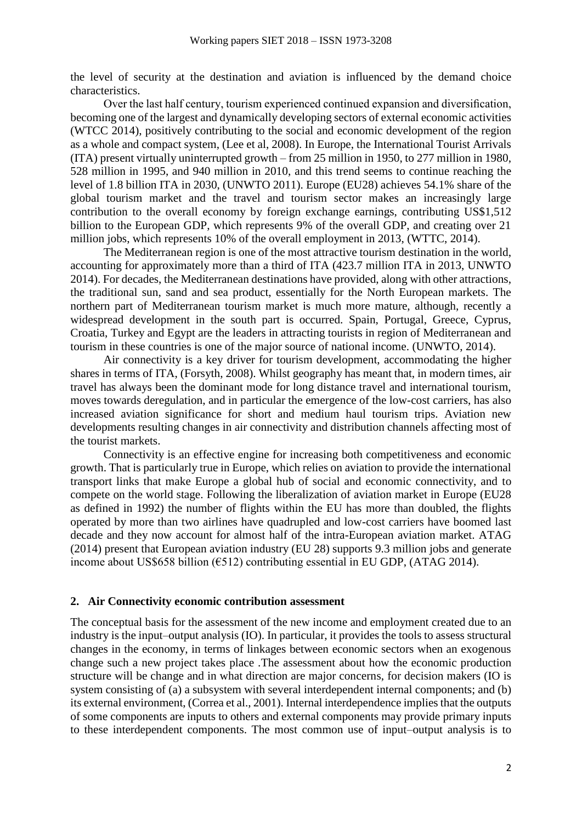the level of security at the destination and aviation is influenced by the demand choice characteristics.

Over the last half century, tourism experienced continued expansion and diversification, becoming one of the largest and dynamically developing sectors of external economic activities (WTCC 2014), positively contributing to the social and economic development of the region as a whole and compact system, (Lee et al, 2008). In Europe, the International Tourist Arrivals (ITA) present virtually uninterrupted growth – from 25 million in 1950, to 277 million in 1980, 528 million in 1995, and 940 million in 2010, and this trend seems to continue reaching the level of 1.8 billion ITA in 2030, (UNWTO 2011). Europe (EU28) achieves 54.1% share of the global tourism market and the travel and tourism sector makes an increasingly large contribution to the overall economy by foreign exchange earnings, contributing US\$1,512 billion to the European GDP, which represents 9% of the overall GDP, and creating over 21 million jobs, which represents 10% of the overall employment in 2013, (WTTC, 2014).

The Mediterranean region is one of the most attractive tourism destination in the world, accounting for approximately more than a third of ITA (423.7 million ITA in 2013, UNWTO 2014). For decades, the Mediterranean destinations have provided, along with other attractions, the traditional sun, sand and sea product, essentially for the North European markets. The northern part of Mediterranean tourism market is much more mature, although, recently a widespread development in the south part is occurred. Spain, Portugal, Greece, Cyprus, Croatia, Turkey and Egypt are the leaders in attracting tourists in region of Mediterranean and tourism in these countries is one of the major source of national income. (UNWTO, 2014).

Air connectivity is a key driver for tourism development, accommodating the higher shares in terms of ITA, (Forsyth, 2008). Whilst geography has meant that, in modern times, air travel has always been the dominant mode for long distance travel and international tourism, moves towards deregulation, and in particular the emergence of the low-cost carriers, has also increased aviation significance for short and medium haul tourism trips. Aviation new developments resulting changes in air connectivity and distribution channels affecting most of the tourist markets.

Connectivity is an effective engine for increasing both competitiveness and economic growth. That is particularly true in Europe, which relies on aviation to provide the international transport links that make Europe a global hub of social and economic connectivity, and to compete on the world stage. Following the liberalization of aviation market in Europe (EU28 as defined in 1992) the number of flights within the EU has more than doubled, the flights operated by more than two airlines have quadrupled and low-cost carriers have boomed last decade and they now account for almost half of the intra-European aviation market. ATAG (2014) present that European aviation industry (EU 28) supports 9.3 million jobs and generate income about US\$658 billion ( $\epsilon$ 512) contributing essential in EU GDP, (ATAG 2014).

### **2. Air Connectivity economic contribution assessment**

The conceptual basis for the assessment of the new income and employment created due to an industry is the input–output analysis (IO). In particular, it provides the tools to assess structural changes in the economy, in terms of linkages between economic sectors when an exogenous change such a new project takes place .The assessment about how the economic production structure will be change and in what direction are major concerns, for decision makers (IO is system consisting of (a) a subsystem with several interdependent internal components; and (b) its external environment, (Correa et al., 2001). Internal interdependence implies that the outputs of some components are inputs to others and external components may provide primary inputs to these interdependent components. The most common use of input–output analysis is to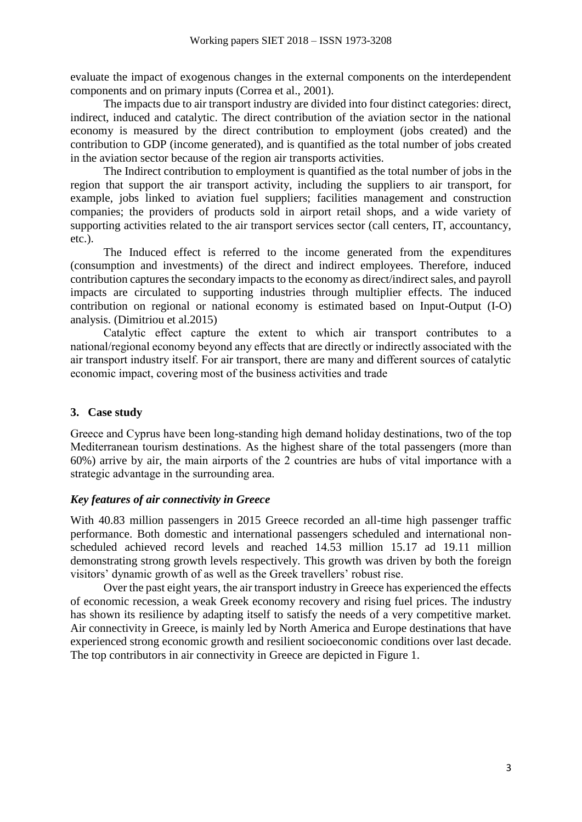evaluate the impact of exogenous changes in the external components on the interdependent components and on primary inputs (Correa et al., 2001).

The impacts due to air transport industry are divided into four distinct categories: direct, indirect, induced and catalytic. The direct contribution of the aviation sector in the national economy is measured by the direct contribution to employment (jobs created) and the contribution to GDP (income generated), and is quantified as the total number of jobs created in the aviation sector because of the region air transports activities.

The Indirect contribution to employment is quantified as the total number of jobs in the region that support the air transport activity, including the suppliers to air transport, for example, jobs linked to aviation fuel suppliers; facilities management and construction companies; the providers of products sold in airport retail shops, and a wide variety of supporting activities related to the air transport services sector (call centers, IT, accountancy, etc.).

The Induced effect is referred to the income generated from the expenditures (consumption and investments) of the direct and indirect employees. Therefore, induced contribution captures the secondary impacts to the economy as direct/indirect sales, and payroll impacts are circulated to supporting industries through multiplier effects. The induced contribution on regional or national economy is estimated based on Input-Output (I-O) analysis. (Dimitriou et al.2015)

Catalytic effect capture the extent to which air transport contributes to a national/regional economy beyond any effects that are directly or indirectly associated with the air transport industry itself. For air transport, there are many and different sources of catalytic economic impact, covering most of the business activities and trade

# **3. Case study**

Greece and Cyprus have been long-standing high demand holiday destinations, two of the top Mediterranean tourism destinations. As the highest share of the total passengers (more than 60%) arrive by air, the main airports of the 2 countries are hubs of vital importance with a strategic advantage in the surrounding area.

# *Key features of air connectivity in Greece*

With 40.83 million passengers in 2015 Greece recorded an all-time high passenger traffic performance. Both domestic and international passengers scheduled and international nonscheduled achieved record levels and reached 14.53 million 15.17 ad 19.11 million demonstrating strong growth levels respectively. This growth was driven by both the foreign visitors' dynamic growth of as well as the Greek travellers' robust rise.

Over the past eight years, the air transport industry in Greece has experienced the effects of economic recession, a weak Greek economy recovery and rising fuel prices. The industry has shown its resilience by adapting itself to satisfy the needs of a very competitive market. Air connectivity in Greece, is mainly led by North America and Europe destinations that have experienced strong economic growth and resilient socioeconomic conditions over last decade. The top contributors in air connectivity in Greece are depicted in Figure 1.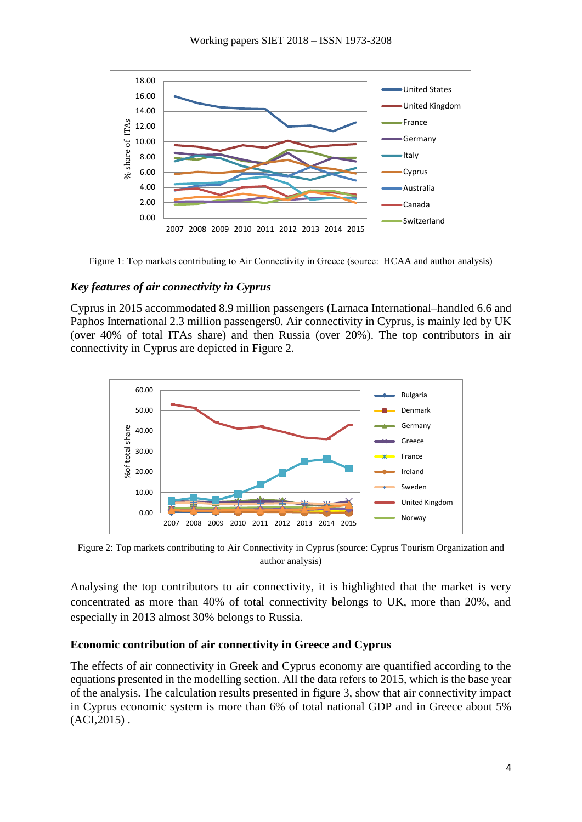

Figure 1: Top markets contributing to Air Connectivity in Greece (source: HCAA and author analysis)

## *Key features of air connectivity in Cyprus*

Cyprus in 2015 accommodated 8.9 million passengers (Larnaca International–handled 6.6 and Paphos International 2.3 million passengers0. Air connectivity in Cyprus, is mainly led by UK (over 40% of total ITAs share) and then Russia (over 20%). The top contributors in air connectivity in Cyprus are depicted in Figure 2.



Figure 2: Top markets contributing to Air Connectivity in Cyprus (source: Cyprus Tourism Organization and author analysis)

Analysing the top contributors to air connectivity, it is highlighted that the market is very concentrated as more than 40% of total connectivity belongs to UK, more than 20%, and especially in 2013 almost 30% belongs to Russia.

## **Economic contribution of air connectivity in Greece and Cyprus**

The effects of air connectivity in Greek and Cyprus economy are quantified according to the equations presented in the modelling section. All the data refers to 2015, which is the base year of the analysis. The calculation results presented in figure 3, show that air connectivity impact in Cyprus economic system is more than 6% of total national GDP and in Greece about 5%  $(ACI, 2015)$ .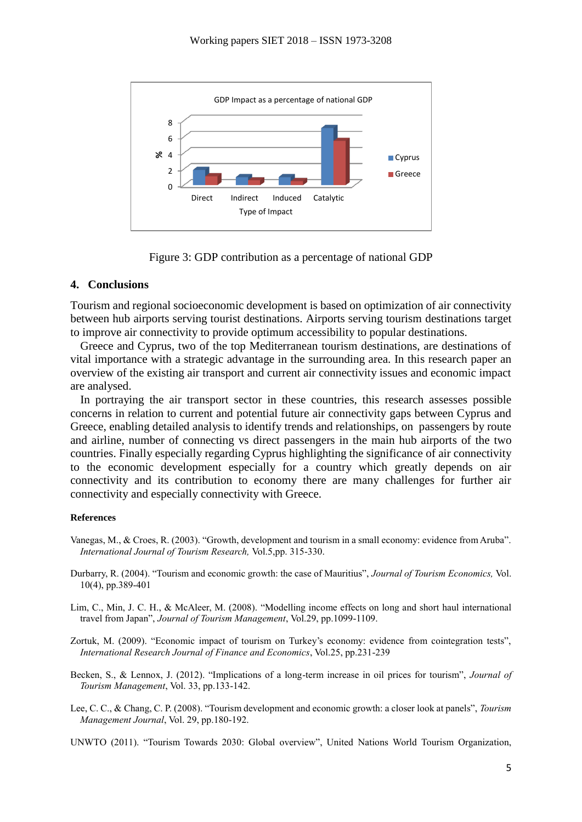

Figure 3: GDP contribution as a percentage of national GDP

## **4. Conclusions**

Tourism and regional socioeconomic development is based on optimization of air connectivity between hub airports serving tourist destinations. Airports serving tourism destinations target to improve air connectivity to provide optimum accessibility to popular destinations.

Greece and Cyprus, two of the top Mediterranean tourism destinations, are destinations of vital importance with a strategic advantage in the surrounding area. In this research paper an overview of the existing air transport and current air connectivity issues and economic impact are analysed.

In portraying the air transport sector in these countries, this research assesses possible concerns in relation to current and potential future air connectivity gaps between Cyprus and Greece, enabling detailed analysis to identify trends and relationships, on passengers by route and airline, number of connecting vs direct passengers in the main hub airports of the two countries. Finally especially regarding Cyprus highlighting the significance of air connectivity to the economic development especially for a country which greatly depends on air connectivity and its contribution to economy there are many challenges for further air connectivity and especially connectivity with Greece.

#### **References**

- Vanegas, M., & Croes, R. (2003). "Growth, development and tourism in a small economy: evidence from Aruba". *International Journal of Tourism Research,* Vol.5,pp. 315-330.
- Durbarry, R. (2004). "Tourism and economic growth: the case of Mauritius", *Journal of Tourism Economics,* Vol. 10(4), pp.389-401
- Lim, C., Min, J. C. H., & McAleer, M. (2008). "Modelling income effects on long and short haul international travel from Japan", *Journal of Tourism Management*, Vol.29, pp.1099-1109.
- Zortuk, M. (2009). "Economic impact of tourism on Turkey's economy: evidence from cointegration tests", *International Research Journal of Finance and Economics*, Vol.25, pp.231-239
- Becken, S., & Lennox, J. (2012). "Implications of a long-term increase in oil prices for tourism", *Journal of Tourism Management*, Vol. 33, pp.133-142.
- Lee, C. C., & Chang, C. P. (2008). "Tourism development and economic growth: a closer look at panels", *Tourism Management Journal*, Vol. 29, pp.180-192.
- UNWTO (2011). "Tourism Towards 2030: Global overview", United Nations World Tourism Organization,